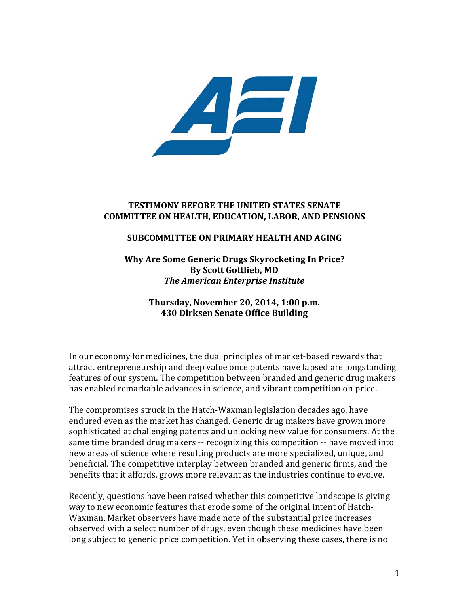

# **T TESTIMONY Y BEFORE T THE UNITE ED STATES SENATE COMM ITTEE ON H HEALTH, ED DUCATION N, LABOR, A AND PENSIO ONS**

# **SUBCOMMITTEE ON PRIMARY HEALTH AND AGING**

**W Why Are Som me Generic c Drugs Sky yrocketing In Price?** *The American Enterprise Institute* **By** Scott Gottlieb, MD

> **Thursd day, Novem mber 20, 20 014, 1:00 p p.m. 430 0 Dirksen S Senate Offic ce Building g**

In our economy for medicines, the dual principles of market-based rewards that attract entrepreneurship and deep value once patents have lapsed are longstanding features of our system. The competition between branded and generic drug makers has enabled remarkable advances in science, and vibrant competition on price.

The compromises struck in the Hatch-Waxman legislation decades ago, have endured even as the market has changed. Generic drug makers have grown more sophisticated at challenging patents and unlocking new value for consumers. At the same time branded drug makers -- recognizing this competition -- have moved into new areas of science where resulting products are more specialized, unique, and beneficial. The competitive interplay between branded and generic firms, and the benefits that it affords, grows more relevant as the industries continue to evolve. ig<br>'s<br>e

Recently, questions have been raised whether this competitive landscape is giving way to new economic features that erode some of the original intent of Hatch-Waxman. Market observers have made note of the substantial price increases observed with a select number of drugs, even though these medicines have been long subject to generic price competition. Yet in observing these cases, there is no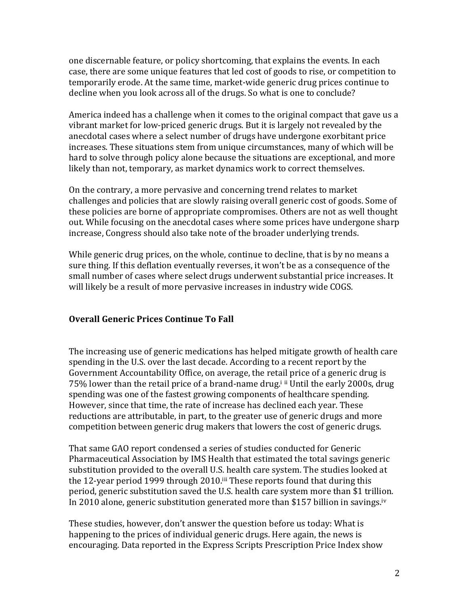one discernable feature, or policy shortcoming, that explains the events. In each case, there are some unique features that led cost of goods to rise, or competition to temporarily erode. At the same time, market-wide generic drug prices continue to decline when you look across all of the drugs. So what is one to conclude?

America indeed has a challenge when it comes to the original compact that gave us a vibrant market for low-priced generic drugs. But it is largely not revealed by the anecdotal cases where a select number of drugs have undergone exorbitant price increases. These situations stem from unique circumstances, many of which will be hard to solve through policy alone because the situations are exceptional, and more likely than not, temporary, as market dynamics work to correct themselves.

On the contrary, a more pervasive and concerning trend relates to market challenges and policies that are slowly raising overall generic cost of goods. Some of these policies are borne of appropriate compromises. Others are not as well thought out. While focusing on the anecdotal cases where some prices have undergone sharp increase, Congress should also take note of the broader underlying trends.

While generic drug prices, on the whole, continue to decline, that is by no means a sure thing. If this deflation eventually reverses, it won't be as a consequence of the small number of cases where select drugs underwent substantial price increases. It will likely be a result of more pervasive increases in industry wide COGS.

### **Overall Generic Prices Continue To Fall**

The increasing use of generic medications has helped mitigate growth of health care spending in the U.S. over the last decade. According to a recent report by the Government Accountability Office, on average, the retail price of a generic drug is  $75\%$  lower than the retail price of a brand-name drug.<sup>i ii</sup> Until the early 2000s, drug spending was one of the fastest growing components of healthcare spending. However, since that time, the rate of increase has declined each vear. These reductions are attributable, in part, to the greater use of generic drugs and more competition between generic drug makers that lowers the cost of generic drugs.

That same GAO report condensed a series of studies conducted for Generic Pharmaceutical Association by IMS Health that estimated the total savings generic substitution provided to the overall U.S. health care system. The studies looked at the 12-year period 1999 through 2010.<sup>iii</sup> These reports found that during this period, generic substitution saved the U.S. health care system more than \$1 trillion. In 2010 alone, generic substitution generated more than \$157 billion in savings.<sup>iv</sup>

These studies, however, don't answer the question before us today: What is happening to the prices of individual generic drugs. Here again, the news is encouraging. Data reported in the Express Scripts Prescription Price Index show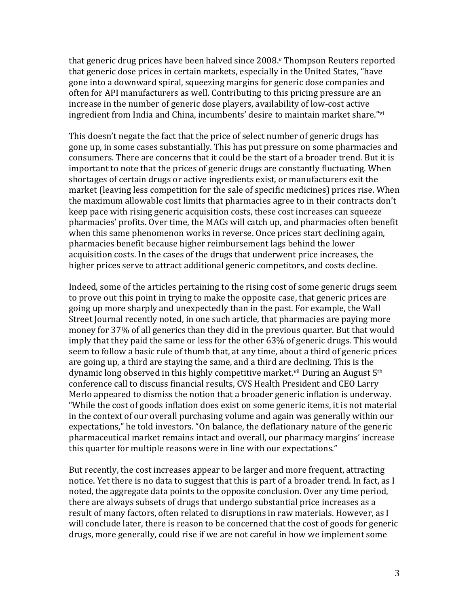that generic drug prices have been halved since 2008. Thompson Reuters reported that generic dose prices in certain markets, especially in the United States, "have gone into a downward spiral, squeezing margins for generic dose companies and often for API manufacturers as well. Contributing to this pricing pressure are an increase in the number of generic dose players, availability of low-cost active ingredient from India and China, incumbents' desire to maintain market share."vi

This doesn't negate the fact that the price of select number of generic drugs has gone up, in some cases substantially. This has put pressure on some pharmacies and consumers. There are concerns that it could be the start of a broader trend. But it is important to note that the prices of generic drugs are constantly fluctuating. When shortages of certain drugs or active ingredients exist, or manufacturers exit the market (leaving less competition for the sale of specific medicines) prices rise. When the maximum allowable cost limits that pharmacies agree to in their contracts don't keep pace with rising generic acquisition costs, these cost increases can squeeze pharmacies' profits. Over time, the MACs will catch up, and pharmacies often benefit when this same phenomenon works in reverse. Once prices start declining again, pharmacies benefit because higher reimbursement lags behind the lower acquisition costs. In the cases of the drugs that underwent price increases, the higher prices serve to attract additional generic competitors, and costs decline.

Indeed, some of the articles pertaining to the rising cost of some generic drugs seem to prove out this point in trying to make the opposite case, that generic prices are going up more sharply and unexpectedly than in the past. For example, the Wall Street Journal recently noted, in one such article, that pharmacies are paying more money for 37% of all generics than they did in the previous quarter. But that would imply that they paid the same or less for the other 63% of generic drugs. This would seem to follow a basic rule of thumb that, at any time, about a third of generic prices are going up, a third are staying the same, and a third are declining. This is the dynamic long observed in this highly competitive market.<sup>vii</sup> During an August  $5<sup>th</sup>$ conference call to discuss financial results, CVS Health President and CEO Larry Merlo appeared to dismiss the notion that a broader generic inflation is underway. "While the cost of goods inflation does exist on some generic items, it is not material in the context of our overall purchasing volume and again was generally within our expectations," he told investors. "On balance, the deflationary nature of the generic pharmaceutical market remains intact and overall, our pharmacy margins' increase this quarter for multiple reasons were in line with our expectations."

But recently, the cost increases appear to be larger and more frequent, attracting notice. Yet there is no data to suggest that this is part of a broader trend. In fact, as I noted, the aggregate data points to the opposite conclusion. Over any time period, there are always subsets of drugs that undergo substantial price increases as a result of many factors, often related to disruptions in raw materials. However, as I will conclude later, there is reason to be concerned that the cost of goods for generic drugs, more generally, could rise if we are not careful in how we implement some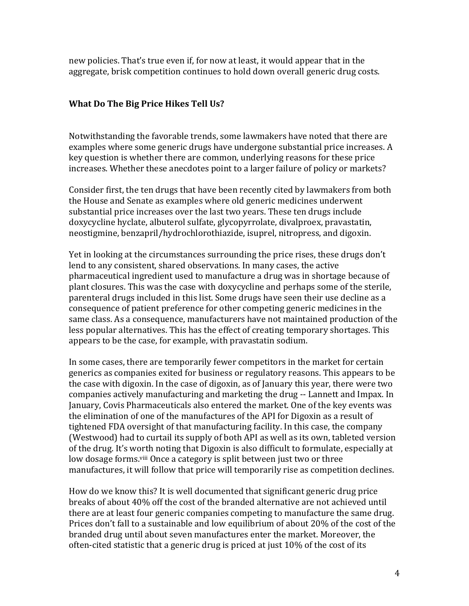new policies. That's true even if, for now at least, it would appear that in the aggregate, brisk competition continues to hold down overall generic drug costs.

# **What Do The Big Price Hikes Tell Us?**

Notwithstanding the favorable trends, some lawmakers have noted that there are examples where some generic drugs have undergone substantial price increases. A key question is whether there are common, underlying reasons for these price increases. Whether these anecdotes point to a larger failure of policy or markets?

Consider first, the ten drugs that have been recently cited by lawmakers from both the House and Senate as examples where old generic medicines underwent substantial price increases over the last two vears. These ten drugs include doxycycline hyclate, albuterol sulfate, glycopyrrolate, divalproex, pravastatin, neostigmine, benzapril/hydrochlorothiazide, isuprel, nitropress, and digoxin.

Yet in looking at the circumstances surrounding the price rises, these drugs don't lend to any consistent, shared observations. In many cases, the active pharmaceutical ingredient used to manufacture a drug was in shortage because of plant closures. This was the case with doxycycline and perhaps some of the sterile, parenteral drugs included in this list. Some drugs have seen their use decline as a consequence of patient preference for other competing generic medicines in the same class. As a consequence, manufacturers have not maintained production of the less popular alternatives. This has the effect of creating temporary shortages. This appears to be the case, for example, with pravastatin sodium.

In some cases, there are temporarily fewer competitors in the market for certain generics as companies exited for business or regulatory reasons. This appears to be the case with digoxin. In the case of digoxin, as of January this year, there were two companies actively manufacturing and marketing the drug -- Lannett and Impax. In January, Covis Pharmaceuticals also entered the market. One of the key events was the elimination of one of the manufactures of the API for Digoxin as a result of tightened FDA oversight of that manufacturing facility. In this case, the company (Westwood) had to curtail its supply of both API as well as its own, tableted version of the drug. It's worth noting that Digoxin is also difficult to formulate, especially at low dosage forms.<sup>viii</sup> Once a category is split between just two or three manufactures, it will follow that price will temporarily rise as competition declines.

How do we know this? It is well documented that significant generic drug price breaks of about 40% off the cost of the branded alternative are not achieved until there are at least four generic companies competing to manufacture the same drug. Prices don't fall to a sustainable and low equilibrium of about 20% of the cost of the branded drug until about seven manufactures enter the market. Moreover, the often-cited statistic that a generic drug is priced at just  $10\%$  of the cost of its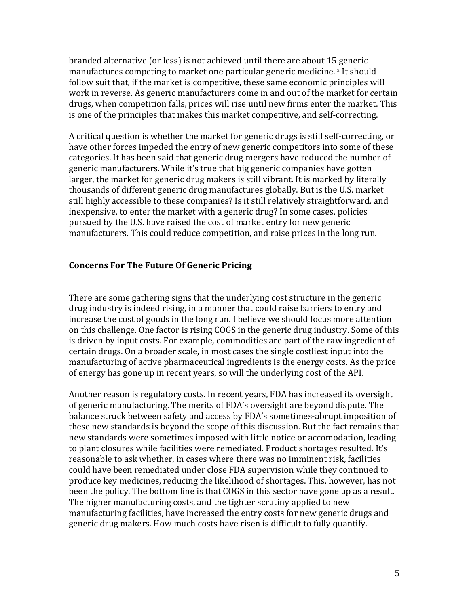branded alternative (or less) is not achieved until there are about 15 generic manufactures competing to market one particular generic medicine.<sup>ix</sup> It should follow suit that, if the market is competitive, these same economic principles will work in reverse. As generic manufacturers come in and out of the market for certain drugs, when competition falls, prices will rise until new firms enter the market. This is one of the principles that makes this market competitive, and self-correcting.

A critical question is whether the market for generic drugs is still self-correcting, or have other forces impeded the entry of new generic competitors into some of these categories. It has been said that generic drug mergers have reduced the number of generic manufacturers. While it's true that big generic companies have gotten larger, the market for generic drug makers is still vibrant. It is marked by literally thousands of different generic drug manufactures globally. But is the U.S. market still highly accessible to these companies? Is it still relatively straightforward, and inexpensive, to enter the market with a generic drug? In some cases, policies pursued by the U.S. have raised the cost of market entry for new generic manufacturers. This could reduce competition, and raise prices in the long run.

# **Concerns For The Future Of Generic Pricing**

There are some gathering signs that the underlying cost structure in the generic drug industry is indeed rising, in a manner that could raise barriers to entry and increase the cost of goods in the long run. I believe we should focus more attention on this challenge. One factor is rising COGS in the generic drug industry. Some of this is driven by input costs. For example, commodities are part of the raw ingredient of certain drugs. On a broader scale, in most cases the single costliest input into the manufacturing of active pharmaceutical ingredients is the energy costs. As the price of energy has gone up in recent years, so will the underlying cost of the API.

Another reason is regulatory costs. In recent years, FDA has increased its oversight of generic manufacturing. The merits of FDA's oversight are beyond dispute. The balance struck between safety and access by FDA's sometimes-abrupt imposition of these new standards is beyond the scope of this discussion. But the fact remains that new standards were sometimes imposed with little notice or accomodation, leading to plant closures while facilities were remediated. Product shortages resulted. It's reasonable to ask whether, in cases where there was no imminent risk, facilities could have been remediated under close FDA supervision while they continued to produce key medicines, reducing the likelihood of shortages. This, however, has not been the policy. The bottom line is that COGS in this sector have gone up as a result. The higher manufacturing costs, and the tighter scrutiny applied to new manufacturing facilities, have increased the entry costs for new generic drugs and generic drug makers. How much costs have risen is difficult to fully quantify.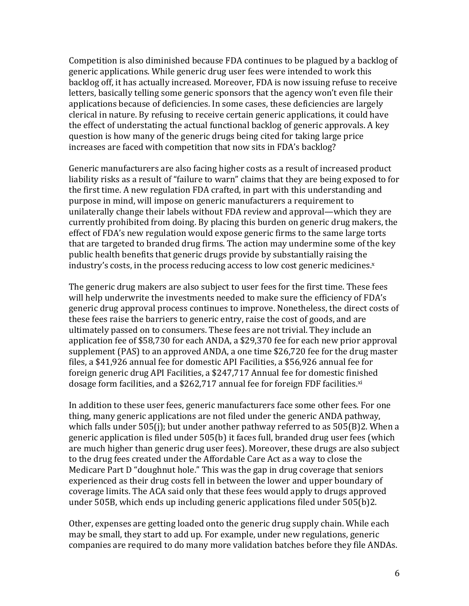Competition is also diminished because FDA continues to be plagued by a backlog of generic applications. While generic drug user fees were intended to work this backlog off, it has actually increased. Moreover, FDA is now issuing refuse to receive letters, basically telling some generic sponsors that the agency won't even file their applications because of deficiencies. In some cases, these deficiencies are largely clerical in nature. By refusing to receive certain generic applications, it could have the effect of understating the actual functional backlog of generic approvals. A key question is how many of the generic drugs being cited for taking large price increases are faced with competition that now sits in FDA's backlog?

Generic manufacturers are also facing higher costs as a result of increased product liability risks as a result of "failure to warn" claims that they are being exposed to for the first time. A new regulation FDA crafted, in part with this understanding and purpose in mind, will impose on generic manufacturers a requirement to unilaterally change their labels without FDA review and approval—which they are currently prohibited from doing. By placing this burden on generic drug makers, the effect of FDA's new regulation would expose generic firms to the same large torts that are targeted to branded drug firms. The action may undermine some of the key public health benefits that generic drugs provide by substantially raising the industry's costs, in the process reducing access to low cost generic medicines. $x$ 

The generic drug makers are also subject to user fees for the first time. These fees will help underwrite the investments needed to make sure the efficiency of FDA's generic drug approval process continues to improve. Nonetheless, the direct costs of these fees raise the barriers to generic entry, raise the cost of goods, and are ultimately passed on to consumers. These fees are not trivial. They include an application fee of \$58,730 for each ANDA, a \$29,370 fee for each new prior approval supplement (PAS) to an approved ANDA, a one time \$26,720 fee for the drug master files, a \$41,926 annual fee for domestic API Facilities, a \$56,926 annual fee for foreign generic drug API Facilities, a \$247,717 Annual fee for domestic finished dosage form facilities, and a  $$262,717$  annual fee for foreign FDF facilities.<sup>xi</sup>

In addition to these user fees, generic manufacturers face some other fees. For one thing, many generic applications are not filed under the generic ANDA pathway, which falls under  $505(i)$ ; but under another pathway referred to as  $505(B)2$ . When a generic application is filed under 505(b) it faces full, branded drug user fees (which are much higher than generic drug user fees). Moreover, these drugs are also subject to the drug fees created under the Affordable Care Act as a way to close the Medicare Part D "doughnut hole." This was the gap in drug coverage that seniors experienced as their drug costs fell in between the lower and upper boundary of coverage limits. The ACA said only that these fees would apply to drugs approved under  $505B$ , which ends up including generic applications filed under  $505(b)2$ .

Other, expenses are getting loaded onto the generic drug supply chain. While each may be small, they start to add up. For example, under new regulations, generic companies are required to do many more validation batches before they file ANDAs.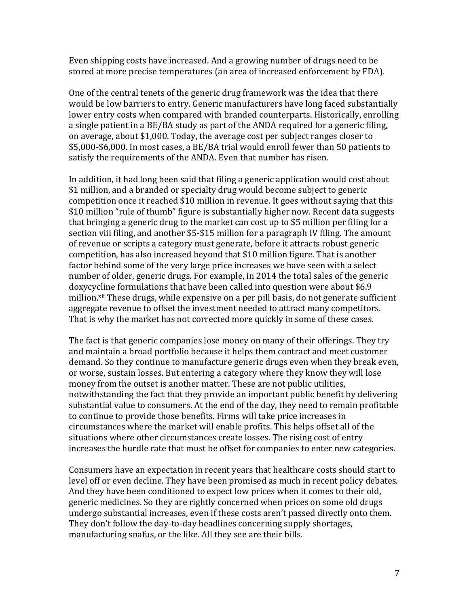Even shipping costs have increased. And a growing number of drugs need to be stored at more precise temperatures (an area of increased enforcement by FDA).

One of the central tenets of the generic drug framework was the idea that there would be low barriers to entry. Generic manufacturers have long faced substantially lower entry costs when compared with branded counterparts. Historically, enrolling a single patient in a BE/BA study as part of the ANDA required for a generic filing, on average, about \$1,000. Today, the average cost per subject ranges closer to \$5,000-\$6,000. In most cases, a BE/BA trial would enroll fewer than 50 patients to satisfy the requirements of the ANDA. Even that number has risen.

In addition, it had long been said that filing a generic application would cost about \$1 million, and a branded or specialty drug would become subject to generic competition once it reached \$10 million in revenue. It goes without saying that this \$10 million "rule of thumb" figure is substantially higher now. Recent data suggests that bringing a generic drug to the market can cost up to \$5 million per filing for a section viii filing, and another  $$5-\$15$  million for a paragraph IV filing. The amount of revenue or scripts a category must generate, before it attracts robust generic competition, has also increased beyond that \$10 million figure. That is another factor behind some of the very large price increases we have seen with a select number of older, generic drugs. For example, in 2014 the total sales of the generic doxycycline formulations that have been called into question were about \$6.9 million.<sup>xii</sup> These drugs, while expensive on a per pill basis, do not generate sufficient aggregate revenue to offset the investment needed to attract many competitors. That is why the market has not corrected more quickly in some of these cases.

The fact is that generic companies lose money on many of their offerings. They try and maintain a broad portfolio because it helps them contract and meet customer demand. So they continue to manufacture generic drugs even when they break even, or worse, sustain losses. But entering a category where they know they will lose money from the outset is another matter. These are not public utilities, notwithstanding the fact that they provide an important public benefit by delivering substantial value to consumers. At the end of the day, they need to remain profitable to continue to provide those benefits. Firms will take price increases in circumstances where the market will enable profits. This helps offset all of the situations where other circumstances create losses. The rising cost of entry increases the hurdle rate that must be offset for companies to enter new categories.

Consumers have an expectation in recent years that healthcare costs should start to level off or even decline. They have been promised as much in recent policy debates. And they have been conditioned to expect low prices when it comes to their old, generic medicines. So they are rightly concerned when prices on some old drugs undergo substantial increases, even if these costs aren't passed directly onto them. They don't follow the day-to-day headlines concerning supply shortages, manufacturing snafus, or the like. All they see are their bills.